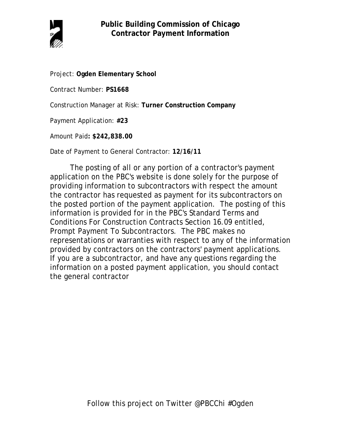

Project: **Ogden Elementary School**

Contract Number: **PS1668**

Construction Manager at Risk: **Turner Construction Company**

Payment Application: **#23**

Amount Paid**: \$242,838.00**

Date of Payment to General Contractor: **12/16/11**

The posting of all or any portion of a contractor's payment application on the PBC's website is done solely for the purpose of providing information to subcontractors with respect the amount the contractor has requested as payment for its subcontractors on the posted portion of the payment application. The posting of this information is provided for in the PBC's Standard Terms and Conditions For Construction Contracts Section 16.09 entitled, Prompt Payment To Subcontractors. The PBC makes no representations or warranties with respect to any of the information provided by contractors on the contractors' payment applications. If you are a subcontractor, and have any questions regarding the information on a posted payment application, you should contact the general contractor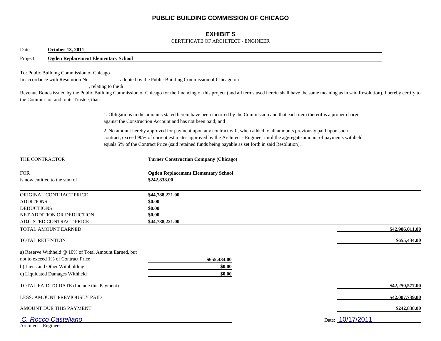## **PUBLIC BUILDING COMMISSION OF CHICAGO**

## **EXHIBIT S**

#### CERTIFICATE OF ARCHITECT - ENGINEER

| Date:<br><b>October 13, 2011</b>                                                                                                                                |                                                                                                                                                                                                                                                                                                                                                                |  |  |  |  |  |  |  |
|-----------------------------------------------------------------------------------------------------------------------------------------------------------------|----------------------------------------------------------------------------------------------------------------------------------------------------------------------------------------------------------------------------------------------------------------------------------------------------------------------------------------------------------------|--|--|--|--|--|--|--|
| Project:                                                                                                                                                        | <b>Ogden Replacement Elementary School</b>                                                                                                                                                                                                                                                                                                                     |  |  |  |  |  |  |  |
| To: Public Building Commission of Chicago<br>In accordance with Resolution No.<br>the Commission and to its Trustee, that:                                      | adopted by the Public Building Commission of Chicago on<br>, relating to the \$<br>Revenue Bonds issued by the Public Building Commission of Chicago for the financing of this project (and all terms used herein shall have the same meaning as in said Resolution), I hereby certify to                                                                      |  |  |  |  |  |  |  |
|                                                                                                                                                                 | 1. Obligations in the amounts stated herein have been incurred by the Commission and that each item thereof is a proper charge<br>against the Construction Account and has not been paid; and                                                                                                                                                                  |  |  |  |  |  |  |  |
|                                                                                                                                                                 | 2. No amount hereby approved for payment upon any contract will, when added to all amounts previously paid upon such<br>contract, exceed 90% of current estimates approved by the Architect - Engineer until the aggregate amount of payments withheld<br>equals 5% of the Contract Price (said retained funds being payable as set forth in said Resolution). |  |  |  |  |  |  |  |
| THE CONTRACTOR                                                                                                                                                  | <b>Turner Construction Company (Chicago)</b>                                                                                                                                                                                                                                                                                                                   |  |  |  |  |  |  |  |
| <b>FOR</b><br>is now entitled to the sum of                                                                                                                     | <b>Ogden Replacement Elementary School</b><br>\$242,838.00                                                                                                                                                                                                                                                                                                     |  |  |  |  |  |  |  |
| ORIGINAL CONTRACT PRICE<br><b>ADDITIONS</b><br><b>DEDUCTIONS</b><br>NET ADDITION OR DEDUCTION<br>ADJUSTED CONTRACT PRICE                                        | \$44,788,221.00<br>\$0.00<br>\$0.00<br>\$0.00<br>\$44,788,221.00                                                                                                                                                                                                                                                                                               |  |  |  |  |  |  |  |
| TOTAL AMOUNT EARNED                                                                                                                                             | \$42,906,011.00                                                                                                                                                                                                                                                                                                                                                |  |  |  |  |  |  |  |
| TOTAL RETENTION                                                                                                                                                 | \$655,434.00                                                                                                                                                                                                                                                                                                                                                   |  |  |  |  |  |  |  |
| a) Reserve Withheld @ 10% of Total Amount Earned, but<br>not to exceed 1% of Contract Price<br>b) Liens and Other Withholding<br>c) Liquidated Damages Withheld | \$655,434.00<br>\$0.00<br>\$0.00                                                                                                                                                                                                                                                                                                                               |  |  |  |  |  |  |  |
| TOTAL PAID TO DATE (Include this Payment)                                                                                                                       | \$42,250,577.00                                                                                                                                                                                                                                                                                                                                                |  |  |  |  |  |  |  |
| LESS: AMOUNT PREVIOUSLY PAID                                                                                                                                    | \$42,007,739.00                                                                                                                                                                                                                                                                                                                                                |  |  |  |  |  |  |  |
| AMOUNT DUE THIS PAYMENT                                                                                                                                         | \$242,838.00                                                                                                                                                                                                                                                                                                                                                   |  |  |  |  |  |  |  |
| C. Rocco Castellano<br>Architect - Engineer                                                                                                                     | Date: 10/17/2011                                                                                                                                                                                                                                                                                                                                               |  |  |  |  |  |  |  |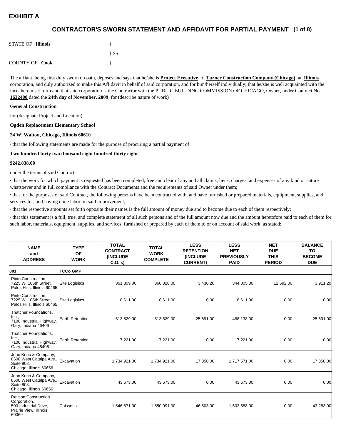## **(1 of 8) CONTRACTOR'S SWORN STATEMENT AND AFFIDAVIT FOR PARTIAL PAYMENT**

| <b>STATE OF Illinois</b> |          |
|--------------------------|----------|
|                          | $\{SS\}$ |
| <b>COUNTY OF Cook</b>    |          |

The affiant, being first duly sworn on oath, deposes and says that he/she is **Project Executive**, of **Turner Construction Company (Chicago)**, an **Illinois** corporation, and duly authorized to make this Affidavit in behalf of said corporation, and for him/herself individually; that he/she is well acquainted with the facts herein set forth and that said corporation is the Contractor with the PUBLIC BUILDING COMMISSION OF CHICAGO, Owner, under Contract No. **1632400** dated the **24th day of November, 2009**, for (describe nature of work)

#### **General Construction**

for (designate Project and Location)

#### **Ogden Replacement Elementary School**

#### **24 W. Walton, Chicago, Illinois 60610**

**·** that the following statements are made for the purpose of procuring a partial payment of

#### **Two hundred forty two thousand eight hundred thirty eight**

#### **\$242,838.00**

under the terms of said Contract;

**·** that the work for which payment is requested has been completed, free and clear of any and all claims, liens, charges, and expenses of any kind or nature whatsoever and in full compliance with the Contract Documents and the requirements of said Owner under them;

**·** that for the purposes of said Contract, the following persons have been contracted with, and have furnished or prepared materials, equipment, supplies, and services for, and having done labor on said improvement;

**·** that the respective amounts set forth opposite their names is the full amount of money due and to become due to each of them respectively;

**·** that this statement is a full, true, and complete statement of all such persons and of the full amount now due and the amount heretofore paid to each of them for such labor, materials, equipment, supplies, and services, furnished or prepared by each of them to or on account of said work, as stated:

| <b>NAME</b><br>and<br><b>ADDRESS</b>                                                                   | <b>TYPE</b><br><b>OF</b><br><b>WORK</b> | <b>TOTAL</b><br><b>CONTRACT</b><br><b>(INCLUDE)</b><br>C.0.'s) | <b>TOTAL</b><br><b>WORK</b><br><b>COMPLETE</b> | <b>LESS</b><br><b>RETENTION</b><br><b>(INCLUDE</b><br><b>CURRENT)</b> | <b>LESS</b><br><b>NET</b><br><b>PREVIOUSLY</b><br><b>PAID</b> | <b>NET</b><br><b>DUE</b><br><b>THIS</b><br><b>PERIOD</b> | <b>BALANCE</b><br>TO<br><b>BECOME</b><br><b>DUE</b> |
|--------------------------------------------------------------------------------------------------------|-----------------------------------------|----------------------------------------------------------------|------------------------------------------------|-----------------------------------------------------------------------|---------------------------------------------------------------|----------------------------------------------------------|-----------------------------------------------------|
| 001                                                                                                    | <b>TCCo GMP</b>                         |                                                                |                                                |                                                                       |                                                               |                                                          |                                                     |
| Pinto Construction,<br>7225 W. 105th Street,<br>Palos Hills, Illinois 60465                            | <b>Site Logisitcs</b>                   | 361,309.00                                                     | 360,828.00                                     | 3,430.20                                                              | 344,805.80                                                    | 12,592.00                                                | 3,911.20                                            |
| Pinto Construction,<br>7225 W. 105th Street.<br>Palos Hills, Illinois 60465                            | <b>Site Logisitcs</b>                   | 8,611.00                                                       | 8,611.00                                       | 0.00                                                                  | 8,611.00                                                      | 0.00                                                     | 0.00                                                |
| Thatcher Foundations,<br>Inc.,<br>7100 Industrial Highway,<br>Gary, Indiana 46406                      | <b>Earth Retention</b>                  | 513,829.00                                                     | 513,829.00                                     | 25,691.00                                                             | 488,138.00                                                    | 0.00                                                     | 25,691.00                                           |
| Thatcher Foundations,<br>Inc.,<br>7100 Industrial Highway,<br>Gary, Indiana 46406                      | <b>Earth Retention</b>                  | 17,221.00                                                      | 17,221.00                                      | 0.00                                                                  | 17,221.00                                                     | 0.00                                                     | 0.00                                                |
| John Keno & Company,<br>8608 West Catalpa Ave.,<br><b>Suite 808.</b><br>Chicago, Illinois 60656        | Excavation                              | 1,734,921.00                                                   | 1,734,921.00                                   | 17,350.00                                                             | 1,717,571.00                                                  | 0.00                                                     | 17,350.00                                           |
| John Keno & Company,<br>8608 West Catalpa Ave.,<br><b>Suite 808.</b><br>Chicago, Illinois 60656        | Excavation                              | 43.673.00                                                      | 43,673.00                                      | 0.00                                                                  | 43.673.00                                                     | 0.00                                                     | 0.00                                                |
| <b>Revcon Construction</b><br>Corporation,<br>500 Industrial Drive,<br>Prairie View, Illinois<br>60069 | <b>Caissons</b>                         | 1,546,871.00                                                   | 1,550,091.00                                   | 46,503.00                                                             | 1,503,588.00                                                  | 0.00                                                     | 43,283.00                                           |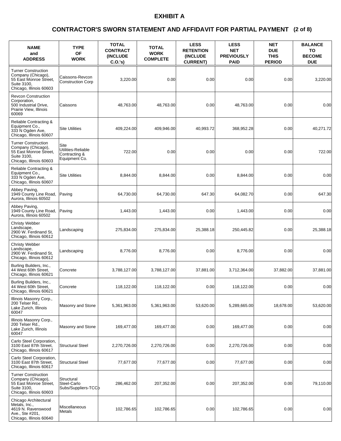### **(2 of 8) CONTRACTOR'S SWORN STATEMENT AND AFFIDAVIT FOR PARTIAL PAYMENT**

| <b>NAME</b><br>and<br><b>ADDRESS</b>                                                                                 | <b>TYPE</b><br><b>OF</b><br><b>WORK</b>                      | <b>TOTAL</b><br><b>CONTRACT</b><br><b>(INCLUDE)</b><br>C.O.'s | <b>TOTAL</b><br><b>WORK</b><br><b>COMPLETE</b> | <b>LESS</b><br><b>RETENTION</b><br>(INCLUDE<br><b>CURRENT)</b> | <b>LESS</b><br><b>NET</b><br><b>PREVIOUSLY</b><br><b>PAID</b> | <b>NET</b><br><b>DUE</b><br><b>THIS</b><br><b>PERIOD</b> | <b>BALANCE</b><br>TO<br><b>BECOME</b><br><b>DUE</b> |
|----------------------------------------------------------------------------------------------------------------------|--------------------------------------------------------------|---------------------------------------------------------------|------------------------------------------------|----------------------------------------------------------------|---------------------------------------------------------------|----------------------------------------------------------|-----------------------------------------------------|
| <b>Turner Construction</b><br>Company (Chicago),<br>55 East Monroe Street,<br>Suite 3100,<br>Chicago, Illinois 60603 | Caissons-Revcon<br><b>Construction Corp</b>                  | 3,220.00                                                      | 0.00                                           | 0.00                                                           | 0.00                                                          | 0.00                                                     | 3,220.00                                            |
| <b>Revcon Construction</b><br>Corporation,<br>500 Industrial Drive,<br>Prairie View, Illinois<br>60069               | Caissons                                                     | 48,763.00                                                     | 48,763.00                                      | 0.00                                                           | 48,763.00                                                     | 0.00                                                     | 0.00                                                |
| Reliable Contracting &<br>Equipment Co.,<br>333 N Ogden Ave,<br>Chicago, Illinois 60607                              | <b>Site Utilities</b>                                        | 409,224.00                                                    | 409,946.00                                     | 40,993.72                                                      | 368,952.28                                                    | 0.00                                                     | 40,271.72                                           |
| <b>Turner Construction</b><br>Company (Chicago),<br>55 East Monroe Street,<br>Suite 3100,<br>Chicago, Illinois 60603 | Site<br>Utilities-Reliable<br>Contracting &<br>Equipment Co. | 722.00                                                        | 0.00                                           | 0.00                                                           | 0.00                                                          | 0.00                                                     | 722.00                                              |
| Reliable Contracting &<br>Equipment Co.,<br>333 N Ogden Ave,<br>Chicago, Illinois 60607                              | <b>Site Utilities</b>                                        | 8,844.00                                                      | 8,844.00                                       | 0.00                                                           | 8,844.00                                                      | 0.00                                                     | 0.00                                                |
| Abbey Paving.<br>1949 County Line Road,<br>Aurora, Illinois 60502                                                    | Paving                                                       | 64,730.00                                                     | 64,730.00                                      | 647.30                                                         | 64,082.70                                                     | 0.00                                                     | 647.30                                              |
| Abbey Paving,<br>1949 County Line Road,<br>Aurora, Illinois 60502                                                    | Paving                                                       | 1,443.00                                                      | 1,443.00                                       | 0.00                                                           | 1,443.00                                                      | 0.00                                                     | 0.00                                                |
| <b>Christy Webber</b><br>Landscape,<br>2900 W. Ferdinand St,<br>Chicago, Illinois 60612                              | Landscaping                                                  | 275,834.00                                                    | 275,834.00                                     | 25,388.18                                                      | 250,445.82                                                    | 0.00                                                     | 25,388.18                                           |
| <b>Christy Webber</b><br>Landscape,<br>2900 W. Ferdinand St,<br>Chicago, Illinois 60612                              | Landscaping                                                  | 8,776.00                                                      | 8,776.00                                       | 0.00                                                           | 8,776.00                                                      | 0.00                                                     | 0.00                                                |
| Burling Builders, Inc.,<br>44 West 60th Street,<br>Chicago, Illinois 60621                                           | Concrete                                                     | 3,788,127.00                                                  | 3,788,127.00                                   | 37,881.00                                                      | 3,712,364.00                                                  | 37,882.00                                                | 37,881.00                                           |
| Burling Builders, Inc.,<br>44 West 60th Street,<br>Chicago, Illinois 60621                                           | Concrete                                                     | 118,122.00                                                    | 118,122.00                                     | 0.00                                                           | 118,122.00                                                    | 0.00                                                     | 0.00                                                |
| Illinois Masonry Corp.,<br>200 Telser Rd.,<br>Lake Zurich, Illinois<br>60047                                         | Masonry and Stone                                            | 5,361,963.00                                                  | 5,361,963.00                                   | 53,620.00                                                      | 5,289,665.00                                                  | 18,678.00                                                | 53,620.00                                           |
| Illinois Masonry Corp.,<br>200 Telser Rd.,<br>Lake Zurich, Illinois<br>60047                                         | Masonry and Stone                                            | 169,477.00                                                    | 169,477.00                                     | 0.00                                                           | 169,477.00                                                    | 0.00                                                     | 0.00                                                |
| Carlo Steel Corporation,<br>3100 East 87th Street,<br>Chicago, Illinois 60617                                        | <b>Structural Steel</b>                                      | 2,270,726.00                                                  | 2,270,726.00                                   | 0.00                                                           | 2,270,726.00                                                  | 0.00                                                     | 0.00                                                |
| Carlo Steel Corporation,<br>3100 East 87th Street,<br>Chicago, Illinois 60617                                        | <b>Structural Steel</b>                                      | 77,677.00                                                     | 77,677.00                                      | 0.00                                                           | 77,677.00                                                     | 0.00                                                     | 0.00                                                |
| <b>Turner Construction</b><br>Company (Chicago),<br>55 East Monroe Street,<br>Suite 3100,<br>Chicago, Illinois 60603 | Structural<br>Steel-Carlo<br>Subs/Suppliers-TCCb             | 286,462.00                                                    | 207,352.00                                     | 0.00                                                           | 207,352.00                                                    | 0.00                                                     | 79,110.00                                           |
| Chicago Architectural<br>Metals, Inc.,<br>4619 N. Ravenswood<br>Ave., Ste #201,<br>Chicago, Illinois 60640           | Miscellaneous<br>Metals                                      | 102,786.65                                                    | 102,786.65                                     | 0.00                                                           | 102,786.65                                                    | 0.00                                                     | 0.00                                                |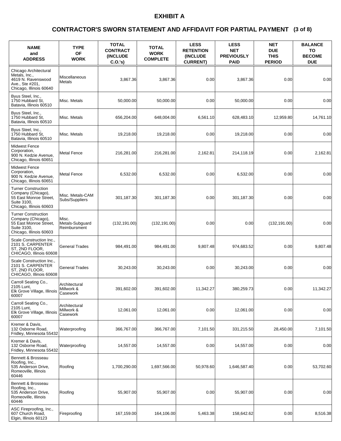### **(3 of 8) CONTRACTOR'S SWORN STATEMENT AND AFFIDAVIT FOR PARTIAL PAYMENT**

| <b>NAME</b><br>and<br><b>ADDRESS</b>                                                                                 | <b>TYPE</b><br><b>OF</b><br><b>WORK</b>  | <b>TOTAL</b><br><b>CONTRACT</b><br><b>(INCLUDE)</b><br>C.O.'s | <b>TOTAL</b><br><b>WORK</b><br><b>COMPLETE</b> | <b>LESS</b><br><b>RETENTION</b><br>(INCLUDE<br><b>CURRENT)</b> | <b>LESS</b><br><b>NET</b><br><b>PREVIOUSLY</b><br><b>PAID</b> | <b>NET</b><br><b>DUE</b><br><b>THIS</b><br><b>PERIOD</b> | <b>BALANCE</b><br>TO<br><b>BECOME</b><br><b>DUE</b> |
|----------------------------------------------------------------------------------------------------------------------|------------------------------------------|---------------------------------------------------------------|------------------------------------------------|----------------------------------------------------------------|---------------------------------------------------------------|----------------------------------------------------------|-----------------------------------------------------|
| Chicago Architectural<br>Metals, Inc.,<br>4619 N. Ravenswood<br>Ave., Ste #201,<br>Chicago, Illinois 60640           | Miscellaneous<br>Metals                  | 3,867.36                                                      | 3,867.36                                       | 0.00                                                           | 3,867.36                                                      | 0.00                                                     | 0.00                                                |
| Byus Steel, Inc.,<br>1750 Hubbard St.<br>Batavia, Illinois 60510                                                     | Misc. Metals                             | 50,000.00                                                     | 50,000.00                                      | 0.00                                                           | 50,000.00                                                     | 0.00                                                     | 0.00                                                |
| Byus Steel, Inc.,<br>1750 Hubbard St.<br>Batavia, Illinois 60510                                                     | Misc. Metals                             | 656,204.00                                                    | 648,004.00                                     | 6,561.10                                                       | 628,483.10                                                    | 12,959.80                                                | 14,761.10                                           |
| Byus Steel, Inc.,<br>1750 Hubbard St.<br>Batavia, Illinois 60510                                                     | Misc. Metals                             | 19,218.00                                                     | 19,218.00                                      | 0.00                                                           | 19,218.00                                                     | 0.00                                                     | 0.00                                                |
| <b>Midwest Fence</b><br>Corporation,<br>900 N. Kedzie Avenue,<br>Chicago, Illinois 60651                             | <b>Metal Fence</b>                       | 216,281.00                                                    | 216,281.00                                     | 2,162.81                                                       | 214,118.19                                                    | 0.00                                                     | 2,162.81                                            |
| <b>Midwest Fence</b><br>Corporation,<br>900 N. Kedzie Avenue,<br>Chicago, Illinois 60651                             | Metal Fence                              | 6,532.00                                                      | 6,532.00                                       | 0.00                                                           | 6,532.00                                                      | 0.00                                                     | 0.00                                                |
| <b>Turner Construction</b><br>Company (Chicago),<br>55 East Monroe Street,<br>Suite 3100,<br>Chicago, Illinois 60603 | Misc. Metals-CAM<br>Subs/Suppliers       | 301,187.30                                                    | 301,187.30                                     | 0.00                                                           | 301,187.30                                                    | 0.00                                                     | 0.00                                                |
| <b>Turner Construction</b><br>Company (Chicago),<br>55 East Monroe Street,<br>Suite 3100,<br>Chicago, Illinois 60603 | Misc.<br>Metals-Subguard<br>Reimbursment | (132, 191.00)                                                 | (132, 191.00)                                  | 0.00                                                           | 0.00                                                          | (132, 191.00)                                            | 0.00                                                |
| Scale Construction Inc.,<br>2101 S. CARPENTER<br>ST, 2ND FLOOR,<br>CHICAGO, Illinois 60608                           | <b>General Trades</b>                    | 984,491.00                                                    | 984,491.00                                     | 9,807.48                                                       | 974,683.52                                                    | 0.00                                                     | 9,807.48                                            |
| Scale Construction Inc.,<br>2101 S. CARPENTER<br>ST, 2ND FLOOR,<br>CHICAGO, Illinois 60608                           | <b>General Trades</b>                    | 30,243.00                                                     | 30,243.00                                      | 0.00                                                           | 30,243.00                                                     | 0.00                                                     | 0.00                                                |
| Carroll Seating Co.,<br>2105 Lunt,<br>Elk Grove Village, Illinois<br>60007                                           | Architectural<br>Millwork &<br>Casework  | 391,602.00                                                    | 391,602.00                                     | 11,342.27                                                      | 380,259.73                                                    | 0.00                                                     | 11,342.27                                           |
| Carroll Seating Co.,<br>2105 Lunt,<br>Elk Grove Village, Illinois<br>60007                                           | Architectural<br>Millwork &<br>Casework  | 12,061.00                                                     | 12,061.00                                      | 0.00                                                           | 12,061.00                                                     | 0.00                                                     | 0.00                                                |
| Kremer & Davis,<br>132 Osborne Road,<br>Fridley, Minnesota 55432                                                     | Waterproofing                            | 366,767.00                                                    | 366,767.00                                     | 7,101.50                                                       | 331,215.50                                                    | 28,450.00                                                | 7,101.50                                            |
| Kremer & Davis,<br>132 Osborne Road,<br>Fridley, Minnesota 55432                                                     | Waterproofing                            | 14,557.00                                                     | 14,557.00                                      | 0.00                                                           | 14,557.00                                                     | 0.00                                                     | 0.00                                                |
| Bennett & Brosseau<br>Roofing, Inc.,<br>535 Anderson Drive,<br>Romeoville, Illinois<br>60446                         | Roofing                                  | 1,700,290.00                                                  | 1,697,566.00                                   | 50,978.60                                                      | 1,646,587.40                                                  | 0.00                                                     | 53,702.60                                           |
| Bennett & Brosseau<br>Roofing, Inc.,<br>535 Anderson Drive,<br>Romeoville, Illinois<br>60446                         | Roofing                                  | 55,907.00                                                     | 55,907.00                                      | 0.00                                                           | 55,907.00                                                     | 0.00                                                     | 0.00                                                |
| ASC Fireproofing, Inc.,<br>607 Church Road,<br>Elgin, Illinois 60123                                                 | Fireproofing                             | 167,159.00                                                    | 164,106.00                                     | 5,463.38                                                       | 158,642.62                                                    | 0.00                                                     | 8,516.38                                            |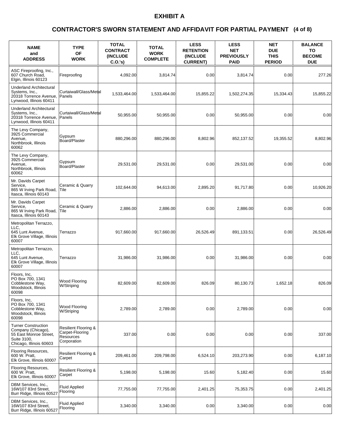### **(4 of 8) CONTRACTOR'S SWORN STATEMENT AND AFFIDAVIT FOR PARTIAL PAYMENT**

| <b>NAME</b><br>and<br><b>ADDRESS</b>                                                                                 | <b>TYPE</b><br><b>OF</b><br><b>WORK</b>                                        | <b>TOTAL</b><br><b>CONTRACT</b><br><b>(INCLUDE)</b><br>C.O.'s) | <b>TOTAL</b><br><b>WORK</b><br><b>COMPLETE</b> | <b>LESS</b><br><b>RETENTION</b><br><b>(INCLUDE)</b><br><b>CURRENT)</b> | <b>LESS</b><br><b>NET</b><br><b>PREVIOUSLY</b><br><b>PAID</b> | <b>NET</b><br><b>DUE</b><br><b>THIS</b><br><b>PERIOD</b> | <b>BALANCE</b><br>TO<br><b>BECOME</b><br><b>DUE</b> |
|----------------------------------------------------------------------------------------------------------------------|--------------------------------------------------------------------------------|----------------------------------------------------------------|------------------------------------------------|------------------------------------------------------------------------|---------------------------------------------------------------|----------------------------------------------------------|-----------------------------------------------------|
| ASC Fireproofing, Inc.,<br>607 Church Road,<br>Elgin, Illinois 60123                                                 | Fireproofing                                                                   | 4,092.00                                                       | 3,814.74                                       | 0.00                                                                   | 3,814.74                                                      | 0.00                                                     | 277.26                                              |
| <b>Underland Architectural</b><br>Systems, Inc.,<br>20318 Torrence Avenue,<br>Lynwood, Illinois 60411                | Curtaiwall/Glass/Metal<br>Panels                                               | 1,533,464.00                                                   | 1,533,464.00                                   | 15,855.22                                                              | 1,502,274.35                                                  | 15,334.43                                                | 15,855.22                                           |
| <b>Underland Architectural</b><br>Systems, Inc.,<br>20318 Torrence Avenue,<br>Lynwood, Illinois 60411                | Curtaiwall/Glass/Metal<br>Panels                                               | 50,955.00                                                      | 50,955.00                                      | 0.00                                                                   | 50,955.00                                                     | 0.00                                                     | 0.00                                                |
| The Levy Company,<br>3925 Commercial<br>Avenue,<br>Northbrook, Illinois<br>60062                                     | Gypsum<br>Board/Plaster                                                        | 880,296.00                                                     | 880,296.00                                     | 8,802.96                                                               | 852,137.52                                                    | 19,355.52                                                | 8,802.96                                            |
| The Levy Company,<br>3925 Commercial<br>Avenue,<br>Northbrook, Illinois<br>60062                                     | Gypsum<br>Board/Plaster                                                        | 29,531.00                                                      | 29,531.00                                      | 0.00                                                                   | 29,531.00                                                     | 0.00                                                     | 0.00                                                |
| Mr. Davids Carpet<br>Service,<br>865 W Irving Park Road,<br>Itasca, Illinois 60143                                   | Ceramic & Quarry<br>Tile                                                       | 102,644.00                                                     | 94.613.00                                      | 2,895.20                                                               | 91,717.80                                                     | 0.00                                                     | 10,926.20                                           |
| Mr. Davids Carpet<br>Service,<br>865 W Irving Park Road,<br>Itasca, Illinois 60143                                   | Ceramic & Quarry<br>Tile                                                       | 2,886.00                                                       | 2,886.00                                       | 0.00                                                                   | 2,886.00                                                      | 0.00                                                     | 0.00                                                |
| Metropolitan Terrazzo,<br>LLC.<br>645 Lunt Avenue,<br>Elk Grove Village, Illinois<br>60007                           | Terrazzo                                                                       | 917,660.00                                                     | 917,660.00                                     | 26,526.49                                                              | 891,133.51                                                    | 0.00                                                     | 26,526.49                                           |
| Metropolitan Terrazzo,<br>LLC.<br>645 Lunt Avenue,<br>Elk Grove Village, Illinois<br>60007                           | Terrazzo                                                                       | 31,986.00                                                      | 31,986.00                                      | 0.00                                                                   | 31,986.00                                                     | 0.00                                                     | 0.00                                                |
| Floors, Inc.<br>PO Box 700, 1341<br>Cobblestone Way,<br>Woodstock, Illinois<br>60098                                 | <b>Wood Flooring</b><br>W/Striping                                             | 82,609.00                                                      | 82,609.00                                      | 826.09                                                                 | 80,130.73                                                     | 1,652.18                                                 | 826.09                                              |
| Floors, Inc,<br>PO Box 700, 1341<br>Cobblestone Way,<br>Woodstock, Illinois<br>60098                                 | Wood Flooring<br>W/Striping                                                    | 2,789.00                                                       | 2,789.00                                       | 0.00                                                                   | 2,789.00                                                      | 0.00                                                     | 0.00                                                |
| <b>Turner Construction</b><br>Company (Chicago),<br>55 East Monroe Street,<br>Suite 3100,<br>Chicago, Illinois 60603 | <b>Resilient Flooring &amp;</b><br>Carpet-Flooring<br>Resources<br>Corporation | 337.00                                                         | 0.00                                           | 0.00                                                                   | 0.00                                                          | 0.00                                                     | 337.00                                              |
| Flooring Resources,<br>600 W. Pratt,<br>Elk Grove, Illinois 60007                                                    | Resilient Flooring &<br>Carpet                                                 | 209,461.00                                                     | 209,798.00                                     | 6,524.10                                                               | 203,273.90                                                    | 0.00                                                     | 6,187.10                                            |
| Flooring Resources,<br>600 W. Pratt,<br>Elk Grove, Illinois 60007                                                    | Resilient Flooring &<br>Carpet                                                 | 5,198.00                                                       | 5,198.00                                       | 15.60                                                                  | 5,182.40                                                      | 0.00                                                     | 15.60                                               |
| DBM Services, Inc.,<br>16W107 83rd Street,<br>Burr Ridge, Illinois 60527                                             | <b>Fluid Applied</b><br>Flooring                                               | 77,755.00                                                      | 77,755.00                                      | 2,401.25                                                               | 75,353.75                                                     | 0.00                                                     | 2,401.25                                            |
| DBM Services, Inc.,<br>16W107 83rd Street,<br>Burr Ridge, Illinois 60527                                             | <b>Fluid Applied</b><br>Flooring                                               | 3,340.00                                                       | 3,340.00                                       | 0.00                                                                   | 3,340.00                                                      | 0.00                                                     | 0.00                                                |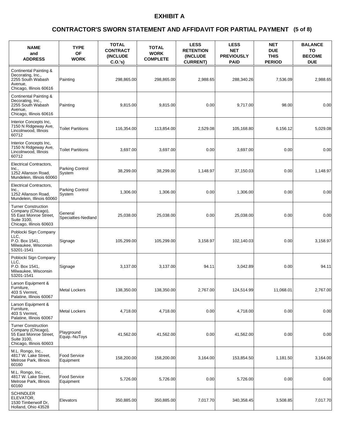### **(5 of 8) CONTRACTOR'S SWORN STATEMENT AND AFFIDAVIT FOR PARTIAL PAYMENT**

| <b>NAME</b><br>and<br><b>ADDRESS</b>                                                                                 | <b>TYPE</b><br><b>OF</b><br><b>WORK</b> | <b>TOTAL</b><br><b>CONTRACT</b><br>(INCLUDE<br>C.O.'s) | <b>TOTAL</b><br><b>WORK</b><br><b>COMPLETE</b> | <b>LESS</b><br><b>RETENTION</b><br>(INCLUDE<br><b>CURRENT)</b> | <b>LESS</b><br><b>NET</b><br><b>PREVIOUSLY</b><br><b>PAID</b> | <b>NET</b><br><b>DUE</b><br><b>THIS</b><br><b>PERIOD</b> | <b>BALANCE</b><br>TO<br><b>BECOME</b><br><b>DUE</b> |
|----------------------------------------------------------------------------------------------------------------------|-----------------------------------------|--------------------------------------------------------|------------------------------------------------|----------------------------------------------------------------|---------------------------------------------------------------|----------------------------------------------------------|-----------------------------------------------------|
| Continental Painting &<br>Decorating, Inc.,<br>2255 South Wabash<br>Avenue,<br>Chicago, Illinois 60616               | Painting                                | 298,865.00                                             | 298,865.00                                     | 2,988.65                                                       | 288,340.26                                                    | 7,536.09                                                 | 2,988.65                                            |
| Continental Painting &<br>Decorating, Inc.,<br>2255 South Wabash<br>Avenue,<br>Chicago, Illinois 60616               | Painting                                | 9,815.00                                               | 9.815.00                                       | 0.00                                                           | 9,717.00                                                      | 98.00                                                    | 0.00                                                |
| Interior Concepts Inc,<br>7150 N Ridgeway Ave,<br>Lincolnwood, Illinois<br>60712                                     | <b>Toilet Partitions</b>                | 116,354.00                                             | 113,854.00                                     | 2,529.08                                                       | 105,168.80                                                    | 6,156.12                                                 | 5,029.08                                            |
| Interior Concepts Inc,<br>7150 N Ridgeway Ave,<br>Lincolnwood, Illinois<br>60712                                     | <b>Toilet Partitions</b>                | 3,697.00                                               | 3,697.00                                       | 0.00                                                           | 3,697.00                                                      | 0.00                                                     | 0.00                                                |
| <b>Electrical Contractors,</b><br>Inc.,<br>1252 Allanson Road,<br>Mundelein, Illinois 60060                          | Parking Control<br>System               | 38,299.00                                              | 38,299.00                                      | 1,148.97                                                       | 37,150.03                                                     | 0.00                                                     | 1,148.97                                            |
| Electrical Contractors,<br>Inc.,<br>1252 Allanson Road,<br>Mundelein, Illinois 60060                                 | Parking Control<br>System               | 1,306.00                                               | 1.306.00                                       | 0.00                                                           | 1.306.00                                                      | 0.00                                                     | 0.00                                                |
| <b>Turner Construction</b><br>Company (Chicago),<br>55 East Monroe Street,<br>Suite 3100,<br>Chicago, Illinois 60603 | General<br>Specialties-Nedland          | 25,038.00                                              | 25,038.00                                      | 0.00                                                           | 25,038.00                                                     | 0.00                                                     | 0.00                                                |
| Poblocki Sign Company<br>LLC.<br>P.O. Box 1541,<br>Milwaukee, Wisconsin<br>53201-1541                                | Signage                                 | 105,299.00                                             | 105,299.00                                     | 3,158.97                                                       | 102,140.03                                                    | 0.00                                                     | 3,158.97                                            |
| Poblocki Sign Company<br>LLC.<br>P.O. Box 1541,<br>Milwaukee, Wisconsin<br>53201-1541                                | Signage                                 | 3,137.00                                               | 3,137.00                                       | 94.11                                                          | 3,042.89                                                      | 0.00                                                     | 94.11                                               |
| Larson Equipment &<br>Furniture,<br>403 S Vermnt,<br>Palatine, Illinois 60067                                        | <b>Metal Lockers</b>                    | 138,350.00                                             | 138,350.00                                     | 2,767.00                                                       | 124,514.99                                                    | 11,068.01                                                | 2,767.00                                            |
| Larson Equipment &<br>Furniture.<br>403 S Vermnt,<br>Palatine, Illinois 60067                                        | Metal Lockers                           | 4,718.00                                               | 4,718.00                                       | 0.00                                                           | 4,718.00                                                      | 0.00                                                     | 0.00                                                |
| <b>Turner Construction</b><br>Company (Chicago),<br>55 East Monroe Street.<br>Suite 3100,<br>Chicago, Illinois 60603 | Playground<br>Equip.-NuToys             | 41,562.00                                              | 41,562.00                                      | 0.00                                                           | 41,562.00                                                     | 0.00                                                     | 0.00                                                |
| M.L. Rongo, Inc.,<br>4817 W. Lake Street,<br>Melrose Park, Illinois<br>60160                                         | <b>Food Service</b><br>Equipment        | 158,200.00                                             | 158,200.00                                     | 3,164.00                                                       | 153,854.50                                                    | 1,181.50                                                 | 3,164.00                                            |
| M.L. Rongo, Inc.,<br>4817 W. Lake Street,<br>Melrose Park, Illinois<br>60160                                         | <b>Food Service</b><br>Equipment        | 5,726.00                                               | 5,726.00                                       | 0.00                                                           | 5,726.00                                                      | 0.00                                                     | 0.00                                                |
| <b>SCHINDLER</b><br>ELEVATOR,<br>1530 Timberwolf Dr,<br>Holland, Ohio 43528                                          | Elevators                               | 350,885.00                                             | 350,885.00                                     | 7,017.70                                                       | 340,358.45                                                    | 3,508.85                                                 | 7,017.70                                            |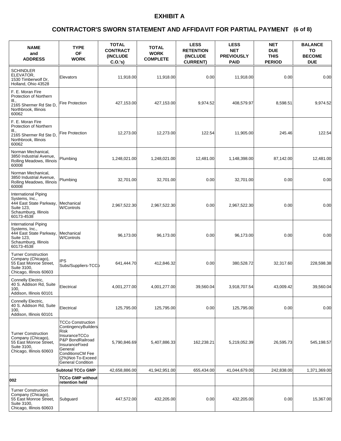### **(6 of 8) CONTRACTOR'S SWORN STATEMENT AND AFFIDAVIT FOR PARTIAL PAYMENT**

| <b>NAME</b><br>and<br><b>ADDRESS</b>                                                                                  | <b>TYPE</b><br><b>OF</b><br><b>WORK</b>                                                                                                                                                               | <b>TOTAL</b><br><b>CONTRACT</b><br><b>(INCLUDE</b><br>C.O.'s | <b>TOTAL</b><br><b>WORK</b><br><b>COMPLETE</b> | <b>LESS</b><br><b>RETENTION</b><br>(INCLUDE<br><b>CURRENT)</b> | <b>LESS</b><br><b>NET</b><br><b>PREVIOUSLY</b><br><b>PAID</b> | <b>NET</b><br><b>DUE</b><br><b>THIS</b><br><b>PERIOD</b> | <b>BALANCE</b><br>TO<br><b>BECOME</b><br><b>DUE</b> |
|-----------------------------------------------------------------------------------------------------------------------|-------------------------------------------------------------------------------------------------------------------------------------------------------------------------------------------------------|--------------------------------------------------------------|------------------------------------------------|----------------------------------------------------------------|---------------------------------------------------------------|----------------------------------------------------------|-----------------------------------------------------|
| <b>SCHINDLER</b><br>ELEVATOR,<br>1530 Timberwolf Dr.<br>Holland, Ohio 43528                                           | Elevators                                                                                                                                                                                             | 11,918.00                                                    | 11,918.00                                      | 0.00                                                           | 11,918.00                                                     | 0.00                                                     | 0.00                                                |
| F. E. Moran Fire<br>Protection of Northern<br>III.,<br>2165 Shermer Rd Ste D,<br>Northbrook, Illinois<br>60062        | Fire Protection                                                                                                                                                                                       | 427,153.00                                                   | 427,153.00                                     | 9,974.52                                                       | 408,579.97                                                    | 8,598.51                                                 | 9,974.52                                            |
| F. E. Moran Fire<br>Protection of Northern<br>III.,<br>2165 Shermer Rd Ste D,<br>Northbrook, Illinois<br>60062        | <b>Fire Protection</b>                                                                                                                                                                                | 12,273.00                                                    | 12,273.00                                      | 122.54                                                         | 11,905.00                                                     | 245.46                                                   | 122.54                                              |
| Norman Mechanical,<br>3850 Industrial Avenue,<br>Rolling Meadows, Illinois<br>60008                                   | Plumbing                                                                                                                                                                                              | 1,248,021.00                                                 | 1,248,021.00                                   | 12,481.00                                                      | 1,148,398.00                                                  | 87,142.00                                                | 12,481.00                                           |
| Norman Mechanical.<br>3850 Industrial Avenue.<br>Rolling Meadows, Illinois<br>60008                                   | Plumbing                                                                                                                                                                                              | 32,701.00                                                    | 32,701.00                                      | 0.00                                                           | 32,701.00                                                     | 0.00                                                     | 0.00                                                |
| International Piping<br>Systems, Inc.,<br>444 East State Parkway,<br>Suite 123,<br>Schaumburg, Illinois<br>60173-4538 | Mechanical<br><b>W/Controls</b>                                                                                                                                                                       | 2,967,522.30                                                 | 2,967,522.30                                   | 0.00                                                           | 2,967,522.30                                                  | 0.00                                                     | 0.00                                                |
| International Piping<br>Systems, Inc.,<br>444 East State Parkway,<br>Suite 123,<br>Schaumburg, Illinois<br>60173-4538 | Mechanical<br><b>W/Controls</b>                                                                                                                                                                       | 96,173.00                                                    | 96,173.00                                      | 0.00                                                           | 96,173.00                                                     | 0.00                                                     | 0.00                                                |
| <b>Turner Construction</b><br>Company (Chicago),<br>55 East Monroe Street,<br>Suite 3100,<br>Chicago, Illinois 60603  | IPS<br>Subs/Suppliers-TCCb                                                                                                                                                                            | 641,444.70                                                   | 412,846.32                                     | 0.00                                                           | 380,528.72                                                    | 32,317.60                                                | 228,598.38                                          |
| Connelly Electric,<br>40 S. Addison Rd, Suite<br>100,<br>Addison, Illinois 60101                                      | Electrical                                                                                                                                                                                            | 4,001,277.00                                                 | 4,001,277.00                                   | 39,560.04                                                      | 3,918,707.54                                                  | 43,009.42                                                | 39,560.04                                           |
| Connelly Electric,<br>40 S. Addison Rd, Suite<br>100,<br>Addison, Illinois 60101                                      | Electrical                                                                                                                                                                                            | 125,795.00                                                   | 125,795.00                                     | 0.00                                                           | 125,795.00                                                    | 0.00                                                     | 0.00                                                |
| <b>Turner Construction</b><br>Company (Chicago),<br>55 East Monroe Street,<br>Suite 3100,<br>Chicago, Illinois 60603  | <b>TCCo Construction</b><br>ContingencyBuilders<br>Risk<br>InsuranceTCCo<br>P&P BondRailroad<br>InsuranceFixed<br>General<br><b>ConditionsCM Fee</b><br>(2%)Not-To-Exceed<br><b>General Condition</b> | 5,790,846.69                                                 | 5,407,886.33                                   | 162,238.21                                                     | 5,219,052.39                                                  | 26,595.73                                                | 545,198.57                                          |
|                                                                                                                       | <b>Subtotal TCCo GMP</b>                                                                                                                                                                              | 42,658,886.00                                                | 41,942,951.00                                  | 655,434.00                                                     | 41,044,679.00                                                 | 242,838.00                                               | 1,371,369.00                                        |
| 002                                                                                                                   | <b>TCCo GMP without</b><br>retention held                                                                                                                                                             |                                                              |                                                |                                                                |                                                               |                                                          |                                                     |
| <b>Turner Construction</b><br>Company (Chicago),<br>55 East Monroe Street,<br>Suite 3100,<br>Chicago, Illinois 60603  | Subguard                                                                                                                                                                                              | 447,572.00                                                   | 432,205.00                                     | 0.00                                                           | 432,205.00                                                    | 0.00                                                     | 15,367.00                                           |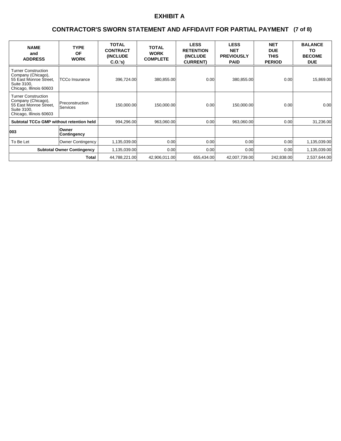### **(7 of 8) CONTRACTOR'S SWORN STATEMENT AND AFFIDAVIT FOR PARTIAL PAYMENT**

| <b>NAME</b><br>and<br><b>ADDRESS</b>                                                                                 | <b>TYPE</b><br><b>OF</b><br><b>WORK</b> | <b>TOTAL</b><br><b>CONTRACT</b><br><b>(INCLUDE)</b><br>C.0.'s) | <b>TOTAL</b><br><b>WORK</b><br><b>COMPLETE</b> | <b>LESS</b><br><b>RETENTION</b><br><b>(INCLUDE)</b><br><b>CURRENT)</b> | <b>LESS</b><br><b>NET</b><br><b>PREVIOUSLY</b><br><b>PAID</b> | <b>NET</b><br><b>DUE</b><br><b>THIS</b><br><b>PERIOD</b> | <b>BALANCE</b><br>TO<br><b>BECOME</b><br><b>DUE</b> |
|----------------------------------------------------------------------------------------------------------------------|-----------------------------------------|----------------------------------------------------------------|------------------------------------------------|------------------------------------------------------------------------|---------------------------------------------------------------|----------------------------------------------------------|-----------------------------------------------------|
| <b>Turner Construction</b><br>Company (Chicago),<br>55 East Monroe Street,<br>Suite 3100,<br>Chicago, Illinois 60603 | <b>TCCo Insurance</b>                   | 396,724.00                                                     | 380,855.00                                     | 0.00                                                                   | 380,855.00                                                    | 0.00                                                     | 15,869.00                                           |
| <b>Turner Construction</b><br>Company (Chicago),<br>55 East Monroe Street,<br>Suite 3100.<br>Chicago, Illinois 60603 | Preconstruction<br><b>Services</b>      | 150,000.00                                                     | 150,000.00                                     | 0.00                                                                   | 150,000.00                                                    | 0.00                                                     | 0.00                                                |
| <b>Subtotal TCCo GMP without retention held</b>                                                                      |                                         | 994,296.00                                                     | 963,060.00                                     | 0.00                                                                   | 963,060.00                                                    | 0.00                                                     | 31,236.00                                           |
| 003                                                                                                                  | Owner<br>Contingency                    |                                                                |                                                |                                                                        |                                                               |                                                          |                                                     |
| To Be Let                                                                                                            | <b>Owner Contingency</b>                | 1,135,039.00                                                   | 0.00 <sub>l</sub>                              | 0.00                                                                   | 0.001                                                         | 0.00                                                     | 1,135,039.00                                        |
|                                                                                                                      | <b>Subtotal Owner Contingency</b>       | 1,135,039.00                                                   | 0.00 <sub>l</sub>                              | 0.00                                                                   | 0.001                                                         | 0.00 <sub>l</sub>                                        | 1,135,039.00                                        |
|                                                                                                                      | Total                                   | 44,788,221.00                                                  | 42,906,011.00                                  | 655,434.00                                                             | 42,007,739.00                                                 | 242,838.00                                               | 2,537,644.00                                        |